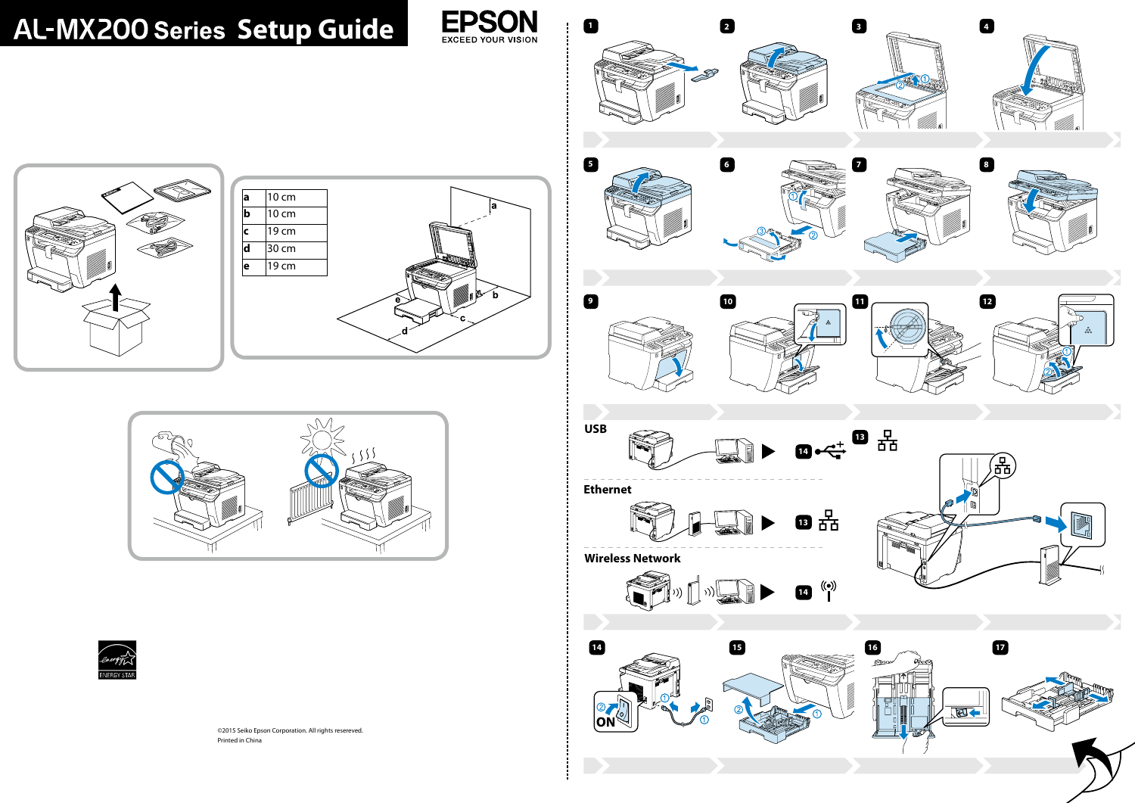©2015 Seiko Epson Corporation. All rights resereved. Printed in China



# **AL-MX200 Series Setup Guide**